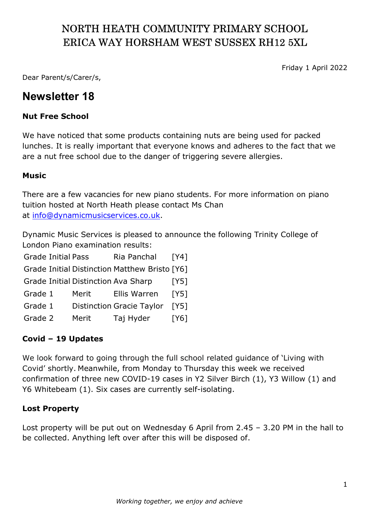# NORTH HEATH COMMUNITY PRIMARY SCHOOL ERICA WAY HORSHAM WEST SUSSEX RH12 5XL

Friday 1 April 2022

Dear Parent/s/Carer/s,

# Newsletter 18

#### Nut Free School

We have noticed that some products containing nuts are being used for packed lunches. It is really important that everyone knows and adheres to the fact that we are a nut free school due to the danger of triggering severe allergies.

#### Music

There are a few vacancies for new piano students. For more information on piano tuition hosted at North Heath please contact Ms Chan at info@dynamicmusicservices.co.uk.

Dynamic Music Services is pleased to announce the following Trinity College of London Piano examination results:

| <b>Grade Initial Pass</b> |       | Ria Panchal                                          | [Y4]        |
|---------------------------|-------|------------------------------------------------------|-------------|
|                           |       | <b>Grade Initial Distinction Matthew Bristo [Y6]</b> |             |
|                           |       | Grade Initial Distinction Ava Sharp                  | [Y5]        |
| Grade 1                   | Merit | Ellis Warren                                         | <b>[Y5]</b> |
| Grade 1                   |       | <b>Distinction Gracie Taylor</b>                     | [Y5]        |
| Grade 2                   | Merit | Taj Hyder                                            | [Y6]        |

# Covid – 19 Updates

We look forward to going through the full school related guidance of 'Living with Covid' shortly. Meanwhile, from Monday to Thursday this week we received confirmation of three new COVID-19 cases in Y2 Silver Birch (1), Y3 Willow (1) and Y6 Whitebeam (1). Six cases are currently self-isolating.

# Lost Property

Lost property will be put out on Wednesday 6 April from 2.45 – 3.20 PM in the hall to be collected. Anything left over after this will be disposed of.